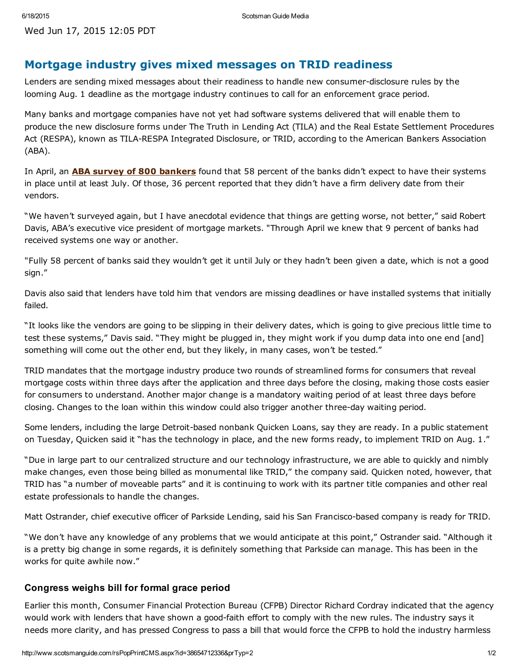## Mortgage industry gives mixed messages on TRID readiness

Lenders are sending mixed messages about their readiness to handle new consumer-disclosure rules by the looming Aug. 1 deadline as the mortgage industry continues to call for an enforcement grace period.

Many banks and mortgage companies have not yet had software systems delivered that will enable them to produce the new disclosure forms under The Truth in Lending Act (TILA) and the Real Estate Settlement Procedures Act (RESPA), known as TILA-RESPA Integrated Disclosure, or TRID, according to the American Bankers Association (ABA).

In April, an **ABA survey of 800 [bankers](http://www.aba.com/Tools/Function/Mortgage/Documents/2015-VendorReadinessSurveyTILArespa.pdf)** found that 58 percent of the banks didn't expect to have their systems in place until at least July. Of those, 36 percent reported that they didn't have a firm delivery date from their vendors.

"We haven't surveyed again, but I have anecdotal evidence that things are getting worse, not better," said Robert Davis, ABA's executive vice president of mortgage markets. "Through April we knew that 9 percent of banks had received systems one way or another.

"Fully 58 percent of banks said they wouldn't get it until July or they hadn't been given a date, which is not a good sign."

Davis also said that lenders have told him that vendors are missing deadlines or have installed systems that initially failed.

"It looks like the vendors are going to be slipping in their delivery dates, which is going to give precious little time to test these systems," Davis said. "They might be plugged in, they might work if you dump data into one end [and] something will come out the other end, but they likely, in many cases, won't be tested."

TRID mandates that the mortgage industry produce two rounds of streamlined forms for consumers that reveal mortgage costs within three days after the application and three days before the closing, making those costs easier for consumers to understand. Another major change is a mandatory waiting period of at least three days before closing. Changes to the loan within this window could also trigger another three-day waiting period.

Some lenders, including the large Detroit-based nonbank Quicken Loans, say they are ready. In a public statement on Tuesday, Quicken said it "has the technology in place, and the new forms ready, to implement TRID on Aug. 1."

"Due in large part to our centralized structure and our technology infrastructure, we are able to quickly and nimbly make changes, even those being billed as monumental like TRID," the company said. Quicken noted, however, that TRID has "a number of moveable parts" and it is continuing to work with its partner title companies and other real estate professionals to handle the changes.

Matt Ostrander, chief executive officer of Parkside Lending, said his San Francisco-based company is ready for TRID.

"We don't have any knowledge of any problems that we would anticipate at this point," Ostrander said. "Although it is a pretty big change in some regards, it is definitely something that Parkside can manage. This has been in the works for quite awhile now."

## Congress weighs bill for formal grace period

Earlier this month, Consumer Financial Protection Bureau (CFPB) Director Richard Cordray indicated that the agency would work with lenders that have shown a good-faith effort to comply with the new rules. The industry says it needs more clarity, and has pressed Congress to pass a bill that would force the CFPB to hold the industry harmless